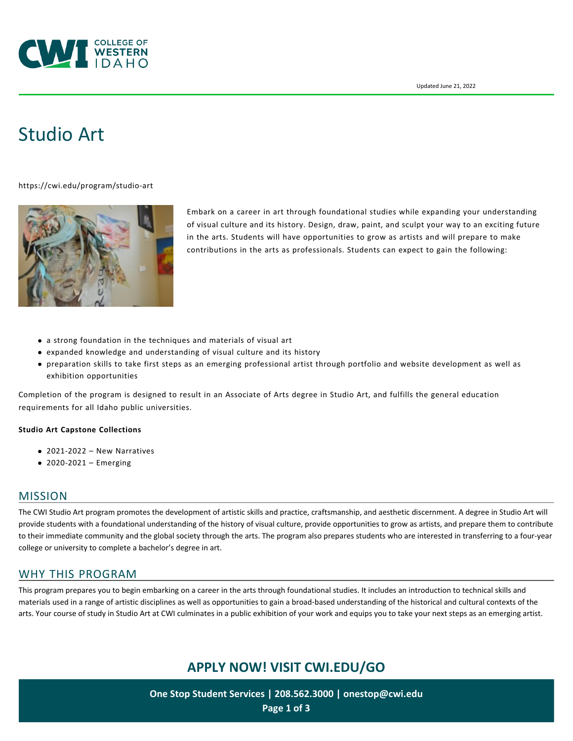

# [Studio Art](https://cwi.edu/program/studio-art)

<https://cwi.edu/program/studio-art>



Embark on a career in art through foundational studies while expanding your understanding of visual culture and its history. Design, draw, paint, and sculpt your way to an exciting future in the arts. Students will have opportunities to grow as artists and will prepare to make contributions in the arts as professionals. Students can expect to gain the following:

- a strong foundation in the techniques and materials of visual art
- expanded knowledge and understanding of visual culture and its history
- preparation skills to take first steps as an emerging professional artist through portfolio and website development as well as exhibition opportunities

Completion of the program is designed to result in an Associate of Arts degree in Studio Art, and fulfills the general education requirements for all Idaho public universities.

#### **Studio Art Capstone Collections**

- [2021-2022 New Narratives](https://cwi.edu/news/news-room/new-narratives-cwi-capstone-collection)
- [2020-2021 Emerging](https://cwi.edu/news/news-room/emerging-cwi-capstone-collection)

#### MISSION

The CWI Studio Art program promotes the development of artistic skills and practice, craftsmanship, and aesthetic discernment. A degree in Studio Art will provide students with a foundational understanding of the history of visual culture, provide opportunities to grow as artists, and prepare them to contribute to their immediate community and the global society through the arts. The program also prepares students who are interested in transferring to a four-year college or university to complete a bachelor's degree in art.

## WHY THIS PROGRAM

This program prepares you to begin embarking on a career in the arts through foundational studies. It includes an introduction to technical skills and materials used in a range of artistic disciplines as well as opportunities to gain a broad-based understanding of the historical and cultural contexts of the arts. Your course of study in Studio Art at CWI culminates in a public exhibition of your work and equips you to take your next steps as an emerging artist.

# **APPLY NOW! VISIT [CWI.EDU/GO](http://cwi.edu/go)**

**One Stop Student Services | 208.562.3000 | [onestop@cwi.edu](mailto:onestop@cwi.edu) Page 1 of 3**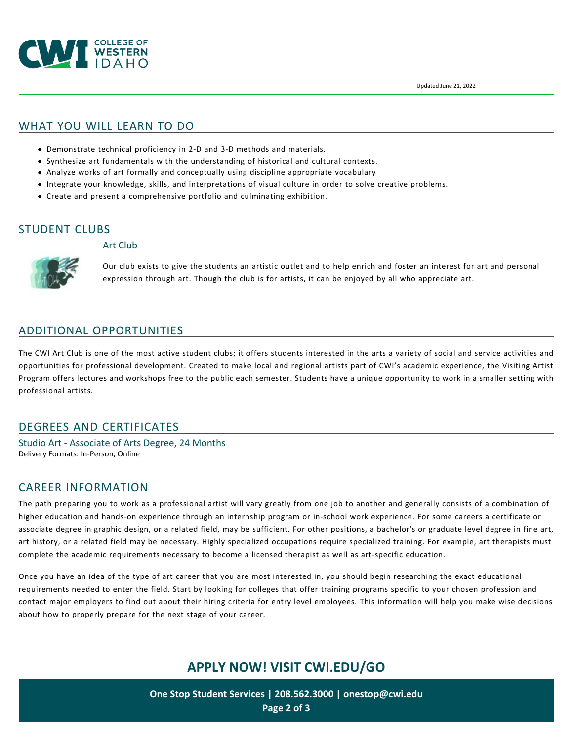

#### WHAT YOU WILL LEARN TO DO

- Demonstrate technical proficiency in 2-D and 3-D methods and materials.
- Synthesize art fundamentals with the understanding of historical and cultural contexts.
- Analyze works of art formally and conceptually using discipline appropriate vocabulary
- Integrate your knowledge, skills, and interpretations of visual culture in order to solve creative problems.
- Create and present a comprehensive portfolio and culminating exhibition.

#### STUDENT CLUBS

#### Art Club



Our club exists to give the students an artistic outlet and to help enrich and foster an interest for art and personal expression through art. Though the club is for artists, it can be enjoyed by all who appreciate art.

#### ADDITIONAL OPPORTUNITIES

The CWI Art Club is one of the most active student clubs; it offers students interested in the arts a variety of social and service activities and opportunities for professional development. Created to make local and regional artists part of CWI's academic experience, the Visiting Artist Program offers lectures and workshops free to the public each semester. Students have a unique opportunity to work in a smaller setting with professional artists.

## DEGREES AND CERTIFICATES

Studio Art - Associate of Arts Degree, 24 Months Delivery Formats: In-Person, Online

#### CAREER INFORMATION

The path preparing you to work as a professional artist will vary greatly from one job to another and generally consists of a combination of higher education and hands-on experience through an internship program or in-school work experience. For some careers a certificate or associate degree in graphic design, or a related field, may be sufficient. For other positions, a bachelor's or graduate level degree in fine art, art history, or a related field may be necessary. Highly specialized occupations require specialized training. For example, art therapists must complete the academic requirements necessary to become a licensed therapist as well as art-specific education.

Once you have an idea of the type of art career that you are most interested in, you should begin researching the exact educational requirements needed to enter the field. Start by looking for colleges that offer training programs specific to your chosen profession and contact major employers to find out about their hiring criteria for entry level employees. This information will help you make wise decisions about how to properly prepare for the next stage of your career.

## **APPLY NOW! VISIT [CWI.EDU/GO](http://cwi.edu/go)**

**One Stop Student Services | 208.562.3000 | [onestop@cwi.edu](mailto:onestop@cwi.edu) Page 2 of 3**